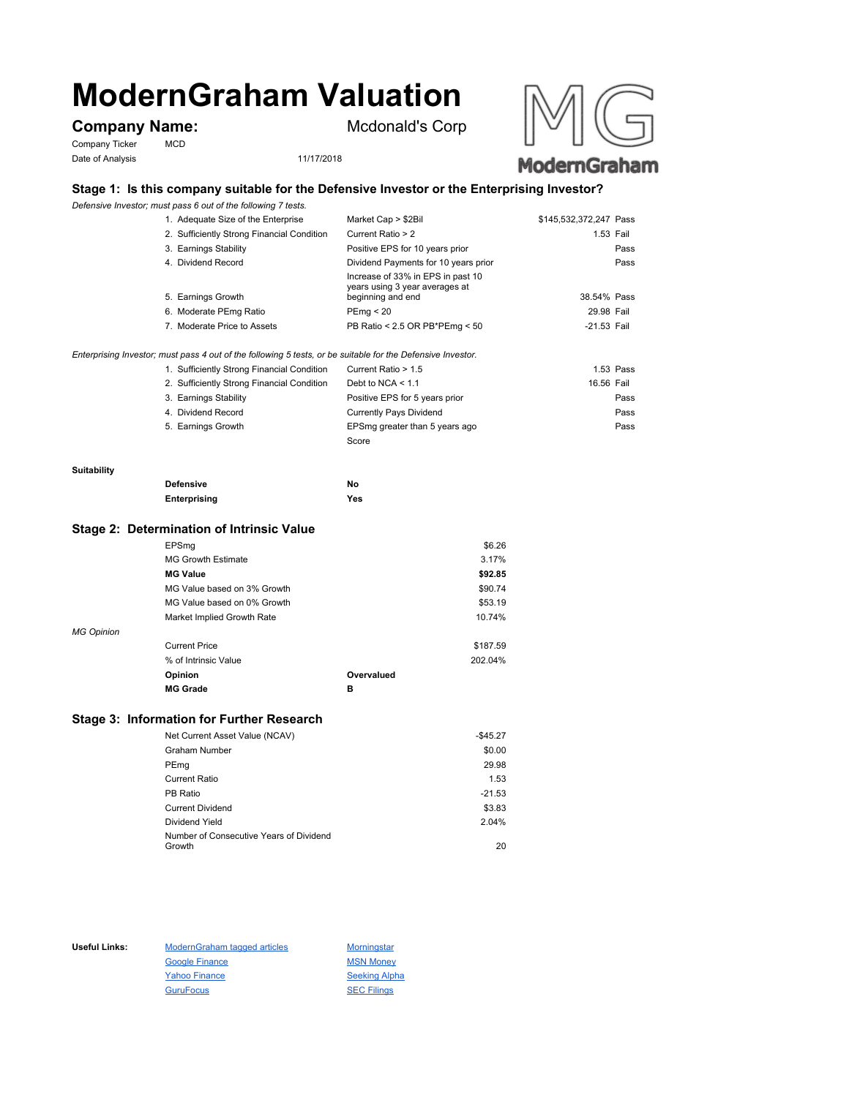# **ModernGraham Valuation**

# **Company Name:** Mcdonald's Corp

Company Ticker MCD Date of Analysis 11/17/2018





## **Stage 1: Is this company suitable for the Defensive Investor or the Enterprising Investor?**

*Defensive Investor; must pass 6 out of the following 7 tests.*

| 1. Adequate Size of the Enterprise         | Market Cap > \$2Bil                                                                      | \$145,532,372,247 Pass |
|--------------------------------------------|------------------------------------------------------------------------------------------|------------------------|
| 2. Sufficiently Strong Financial Condition | Current Ratio > 2                                                                        | 1.53 Fail              |
| 3. Earnings Stability                      | Positive EPS for 10 years prior                                                          | Pass                   |
| 4. Dividend Record                         | Dividend Payments for 10 years prior                                                     | Pass                   |
| 5. Earnings Growth                         | Increase of 33% in EPS in past 10<br>years using 3 year averages at<br>beginning and end | 38.54% Pass            |
| 6. Moderate PEmg Ratio                     | PEmg < 20                                                                                | 29.98 Fail             |
| 7. Moderate Price to Assets                | PB Ratio < 2.5 OR PB*PEmg < 50                                                           | $-21.53$ Fail          |

*Enterprising Investor; must pass 4 out of the following 5 tests, or be suitable for the Defensive Investor.*

| 1. Sufficiently Strong Financial Condition | Current Ratio > 1.5            | 1.53 Pass  |  |
|--------------------------------------------|--------------------------------|------------|--|
| 2. Sufficiently Strong Financial Condition | Debt to NCA $<$ 1.1            | 16.56 Fail |  |
| 3. Earnings Stability                      | Positive EPS for 5 years prior | Pass       |  |
| 4. Dividend Record                         | <b>Currently Pays Dividend</b> | Pass       |  |
| 5. Earnings Growth                         | EPSmg greater than 5 years ago | Pass       |  |
|                                            | Score                          |            |  |

#### **Suitability**

| <b>Defensive</b> | No  |
|------------------|-----|
| Enterprising     | Yes |

#### **Stage 2: Determination of Intrinsic Value**

|                   | EPSmg                       |            | \$6.26   |
|-------------------|-----------------------------|------------|----------|
|                   | <b>MG Growth Estimate</b>   |            | 3.17%    |
|                   | <b>MG Value</b>             |            | \$92.85  |
|                   | MG Value based on 3% Growth |            | \$90.74  |
|                   | MG Value based on 0% Growth |            | \$53.19  |
|                   | Market Implied Growth Rate  |            | 10.74%   |
| <b>MG Opinion</b> |                             |            |          |
|                   | <b>Current Price</b>        |            | \$187.59 |
|                   | % of Intrinsic Value        |            | 202.04%  |
|                   | Opinion                     | Overvalued |          |
|                   | <b>MG Grade</b>             | в          |          |
|                   |                             |            |          |

### **Stage 3: Information for Further Research**

| Net Current Asset Value (NCAV)          | $-$45.27$ |
|-----------------------------------------|-----------|
| Graham Number                           | \$0.00    |
| PEmg                                    | 29.98     |
| Current Ratio                           | 1.53      |
| PB Ratio                                | $-21.53$  |
| <b>Current Dividend</b>                 | \$3.83    |
| Dividend Yield                          | 2.04%     |
| Number of Consecutive Years of Dividend |           |
| Growth                                  | 20        |

Useful Links: ModernGraham tagged articles Morningstar Google Finance MSN Money Yahoo Finance Seeking Alpha GuruFocus SEC Filings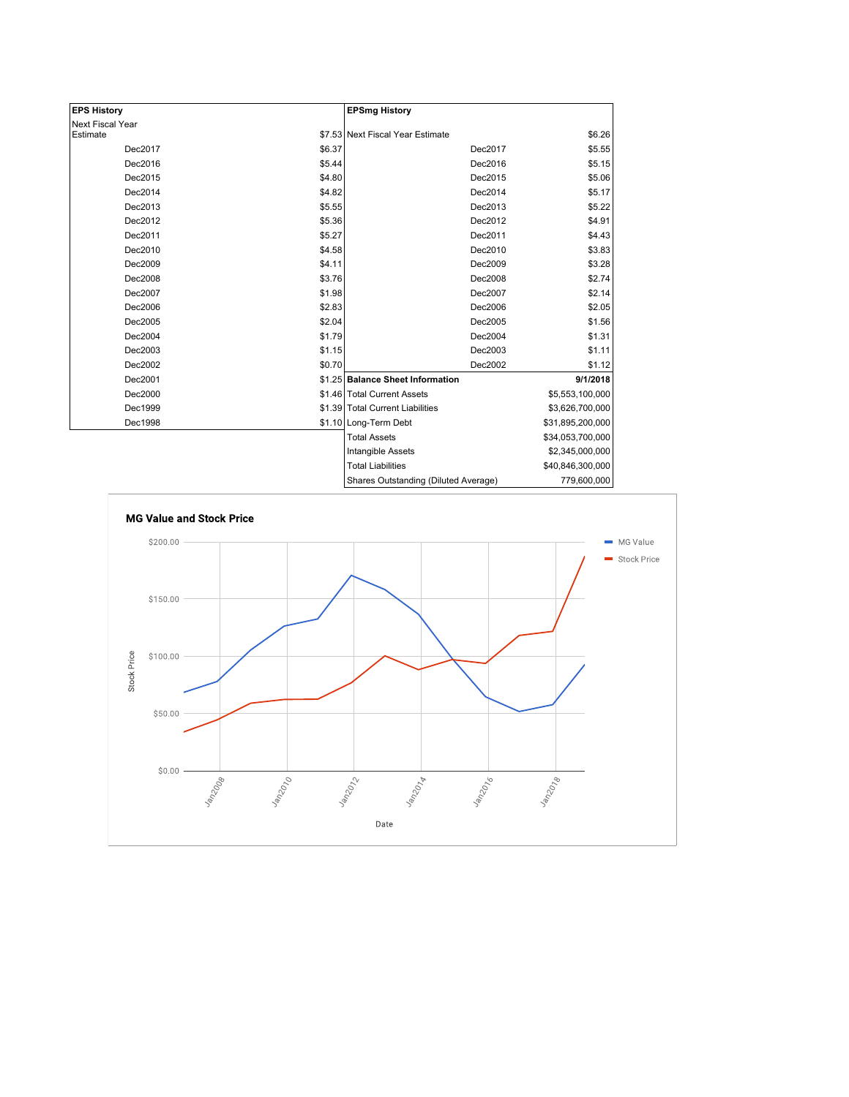| <b>EPS History</b> |        | <b>EPSmg History</b>                 |                  |
|--------------------|--------|--------------------------------------|------------------|
| Next Fiscal Year   |        |                                      |                  |
| Estimate           |        | \$7.53 Next Fiscal Year Estimate     | \$6.26           |
| Dec2017            | \$6.37 | Dec2017                              | \$5.55           |
| Dec2016            | \$5.44 | Dec2016                              | \$5.15           |
| Dec2015            | \$4.80 | Dec2015                              | \$5.06           |
| Dec2014            | \$4.82 | Dec2014                              | \$5.17           |
| Dec2013            | \$5.55 | Dec2013                              | \$5.22           |
| Dec2012            | \$5.36 | Dec2012                              | \$4.91           |
| Dec2011            | \$5.27 | Dec2011                              | \$4.43           |
| Dec2010            | \$4.58 | Dec2010                              | \$3.83           |
| Dec2009            | \$4.11 | Dec2009                              | \$3.28           |
| Dec2008            | \$3.76 | Dec2008                              | \$2.74           |
| Dec2007            | \$1.98 | Dec2007                              | \$2.14           |
| Dec2006            | \$2.83 | Dec2006                              | \$2.05           |
| Dec2005            | \$2.04 | Dec2005                              | \$1.56           |
| Dec2004            | \$1.79 | Dec2004                              | \$1.31           |
| Dec2003            | \$1.15 | Dec2003                              | \$1.11           |
| Dec2002            | \$0.70 | Dec2002                              | \$1.12           |
| Dec2001            |        | \$1.25 Balance Sheet Information     | 9/1/2018         |
| Dec2000            |        | \$1.46 Total Current Assets          | \$5,553,100,000  |
| Dec1999            |        | \$1.39 Total Current Liabilities     | \$3,626,700,000  |
| Dec1998            |        | \$1.10 Long-Term Debt                | \$31,895,200,000 |
|                    |        | <b>Total Assets</b>                  | \$34,053,700,000 |
|                    |        | Intangible Assets                    | \$2,345,000,000  |
|                    |        | <b>Total Liabilities</b>             | \$40,846,300,000 |
|                    |        | Shares Outstanding (Diluted Average) | 779,600,000      |